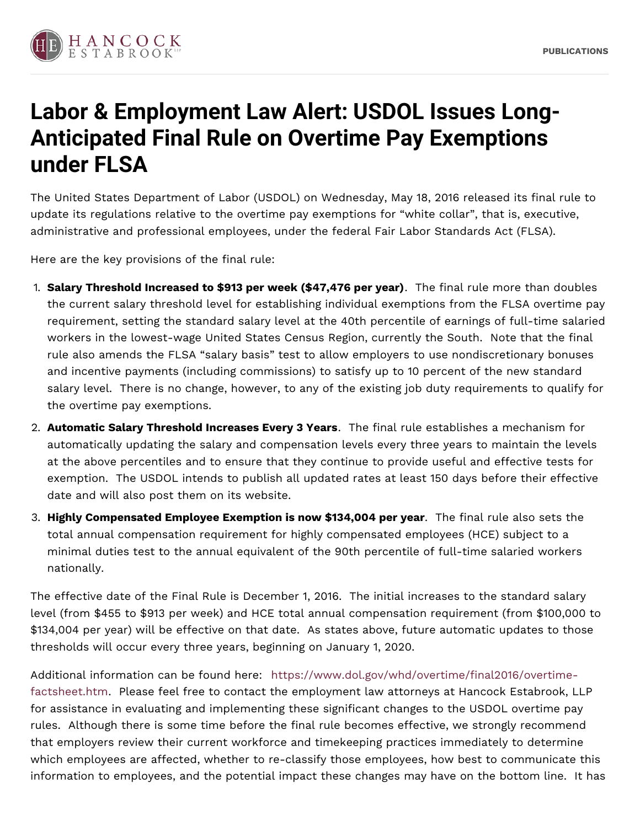

## **Labor & Employment Law Alert: USDOL Issues Long-Anticipated Final Rule on Overtime Pay Exemptions under FLSA**

The United States Department of Labor (USDOL) on Wednesday, May 18, 2016 released its final rule to update its regulations relative to the overtime pay exemptions for "white collar", that is, executive, administrative and professional employees, under the federal Fair Labor Standards Act (FLSA).

Here are the key provisions of the final rule:

- 1. **Salary Threshold Increased to \$913 per week (\$47,476 per year)**. The final rule more than doubles the current salary threshold level for establishing individual exemptions from the FLSA overtime pay requirement, setting the standard salary level at the 40th percentile of earnings of full-time salaried workers in the lowest-wage United States Census Region, currently the South. Note that the final rule also amends the FLSA "salary basis" test to allow employers to use nondiscretionary bonuses and incentive payments (including commissions) to satisfy up to 10 percent of the new standard salary level. There is no change, however, to any of the existing job duty requirements to qualify for the overtime pay exemptions.
- 2. **Automatic Salary Threshold Increases Every 3 Years**. The final rule establishes a mechanism for automatically updating the salary and compensation levels every three years to maintain the levels at the above percentiles and to ensure that they continue to provide useful and effective tests for exemption. The USDOL intends to publish all updated rates at least 150 days before their effective date and will also post them on its website.
- 3. **Highly Compensated Employee Exemption is now \$134,004 per year**. The final rule also sets the total annual compensation requirement for highly compensated employees (HCE) subject to a minimal duties test to the annual equivalent of the 90th percentile of full-time salaried workers nationally.

The effective date of the Final Rule is December 1, 2016. The initial increases to the standard salary level (from \$455 to \$913 per week) and HCE total annual compensation requirement (from \$100,000 to \$134,004 per year) will be effective on that date. As states above, future automatic updates to those thresholds will occur every three years, beginning on January 1, 2020.

Additional information can be found here: [https://www.dol.gov/whd/overtime/final2016/overtime](https://www.dol.gov/whd/overtime/final2016/overtime-factsheet.htm)factsheet.htm. Please feel free to contact the employment law attorneys at Hancock Estabrook, LLP for assistance in evaluating and implementing these significant changes to the USDOL overtime pay rules. Although there is some time before the final rule becomes effective, we strongly recommend that employers review their current workforce and timekeeping practices immediately to determine which employees are affected, whether to re-classify those employees, how best to communicate this information to employees, and the potential impact these changes may have on the bottom line. It has